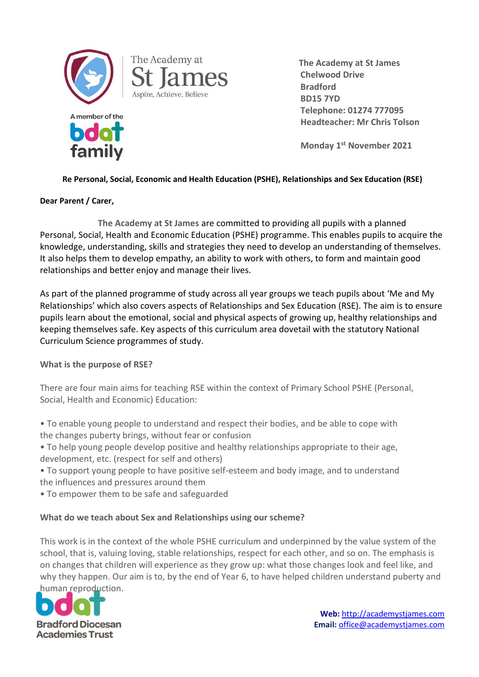

The Academy at

Aspire, Achieve, Believe

 **The Academy at St James Chelwood Drive Bradford BD15 7YD Telephone: 01274 777095 Headteacher: Mr Chris Tolson**

**Monday 1st November 2021**

### **Re Personal, Social, Economic and Health Education (PSHE), Relationships and Sex Education (RSE)**

#### **Dear Parent / Carer,**

**The Academy at St James** are committed to providing all pupils with a planned Personal, Social, Health and Economic Education (PSHE) programme. This enables pupils to acquire the knowledge, understanding, skills and strategies they need to develop an understanding of themselves. It also helps them to develop empathy, an ability to work with others, to form and maintain good relationships and better enjoy and manage their lives.

As part of the planned programme of study across all year groups we teach pupils about 'Me and My Relationships' which also covers aspects of Relationships and Sex Education (RSE). The aim is to ensure pupils learn about the emotional, social and physical aspects of growing up, healthy relationships and keeping themselves safe. Key aspects of this curriculum area dovetail with the statutory National Curriculum Science programmes of study.

### **What is the purpose of RSE?**

There are four main aims for teaching RSE within the context of Primary School PSHE (Personal, Social, Health and Economic) Education:

• To enable young people to understand and respect their bodies, and be able to cope with the changes puberty brings, without fear or confusion

• To help young people develop positive and healthy relationships appropriate to their age, development, etc. (respect for self and others)

- To support young people to have positive self-esteem and body image, and to understand the influences and pressures around them
- To empower them to be safe and safeguarded

### **What do we teach about Sex and Relationships using our scheme?**

This work is in the context of the whole PSHE curriculum and underpinned by the value system of the school, that is, valuing loving, stable relationships, respect for each other, and so on. The emphasis is on changes that children will experience as they grow up: what those changes look and feel like, and why they happen. Our aim is to, by the end of Year 6, to have helped children understand puberty and human reproduction.

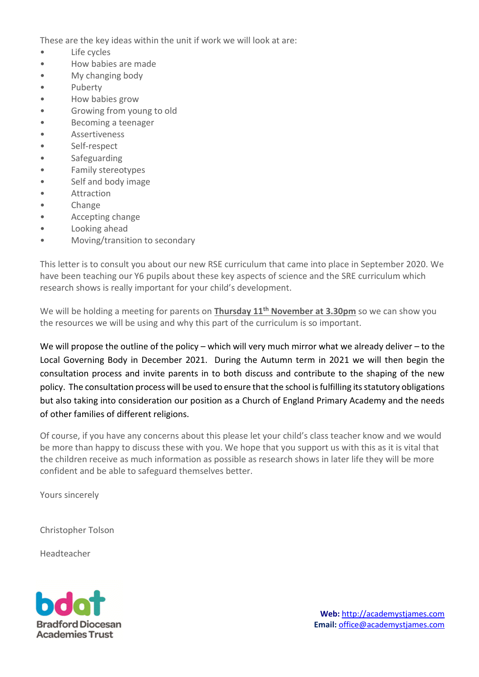These are the key ideas within the unit if work we will look at are:

- Life cycles
- How babies are made
- My changing body
- Puberty
- How babies grow
- Growing from young to old
- Becoming a teenager
- Assertiveness
- Self-respect
- **Safeguarding**
- Family stereotypes
- Self and body image
- Attraction
- Change
- Accepting change
- Looking ahead
- Moving/transition to secondary

This letter is to consult you about our new RSE curriculum that came into place in September 2020. We have been teaching our Y6 pupils about these key aspects of science and the SRE curriculum which research shows is really important for your child's development.

We will be holding a meeting for parents on **Thursday 11th November at 3.30pm** so we can show you the resources we will be using and why this part of the curriculum is so important.

We will propose the outline of the policy – which will very much mirror what we already deliver – to the Local Governing Body in December 2021. During the Autumn term in 2021 we will then begin the consultation process and invite parents in to both discuss and contribute to the shaping of the new policy. The consultation process will be used to ensure that the school is fulfilling its statutory obligations but also taking into consideration our position as a Church of England Primary Academy and the needs of other families of different religions.

Of course, if you have any concerns about this please let your child's class teacher know and we would be more than happy to discuss these with you. We hope that you support us with this as it is vital that the children receive as much information as possible as research shows in later life they will be more confident and be able to safeguard themselves better.

Yours sincerely

Christopher Tolson

Headteacher

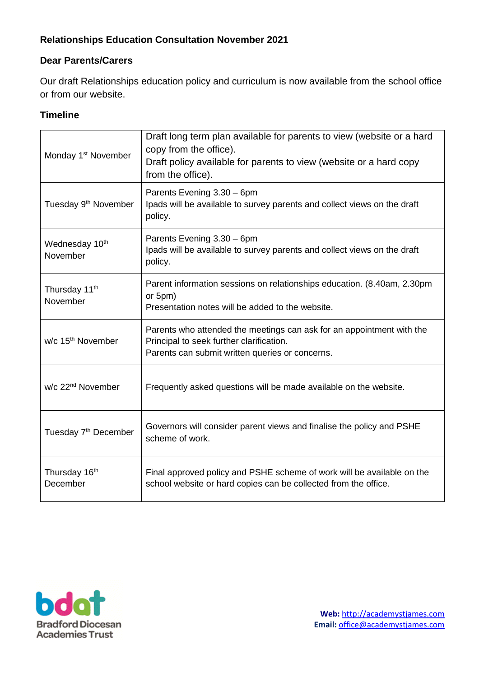# **Relationships Education Consultation November 2021**

## **Dear Parents/Carers**

Our draft Relationships education policy and curriculum is now available from the school office or from our website.

## **Timeline**

| Monday 1 <sup>st</sup> November        | Draft long term plan available for parents to view (website or a hard<br>copy from the office).<br>Draft policy available for parents to view (website or a hard copy<br>from the office). |
|----------------------------------------|--------------------------------------------------------------------------------------------------------------------------------------------------------------------------------------------|
| Tuesday 9 <sup>th</sup> November       | Parents Evening 3.30 - 6pm<br>Ipads will be available to survey parents and collect views on the draft<br>policy.                                                                          |
| Wednesday 10 <sup>th</sup><br>November | Parents Evening 3.30 - 6pm<br>Ipads will be available to survey parents and collect views on the draft<br>policy.                                                                          |
| Thursday 11 <sup>th</sup><br>November  | Parent information sessions on relationships education. (8.40am, 2.30pm<br>or 5pm)<br>Presentation notes will be added to the website.                                                     |
| w/c 15 <sup>th</sup> November          | Parents who attended the meetings can ask for an appointment with the<br>Principal to seek further clarification.<br>Parents can submit written queries or concerns.                       |
| w/c 22 <sup>nd</sup> November          | Frequently asked questions will be made available on the website.                                                                                                                          |
| Tuesday 7 <sup>th</sup> December       | Governors will consider parent views and finalise the policy and PSHE<br>scheme of work.                                                                                                   |
| Thursday 16th<br>December              | Final approved policy and PSHE scheme of work will be available on the<br>school website or hard copies can be collected from the office.                                                  |